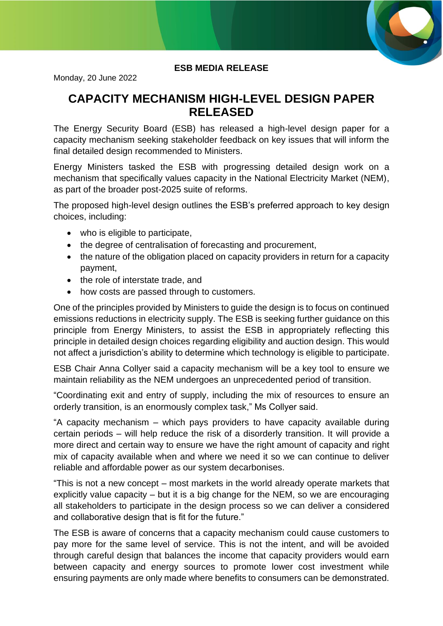

## **ESB MEDIA RELEASE**

Monday, 20 June 2022

## **CAPACITY MECHANISM HIGH-LEVEL DESIGN PAPER RELEASED**

The Energy Security Board (ESB) has released a high-level design paper for a capacity mechanism seeking stakeholder feedback on key issues that will inform the final detailed design recommended to Ministers.

Energy Ministers tasked the ESB with progressing detailed design work on a mechanism that specifically values capacity in the National Electricity Market (NEM), as part of the broader post-2025 suite of reforms.

The proposed high-level design outlines the ESB's preferred approach to key design choices, including:

- who is eligible to participate.
- the degree of centralisation of forecasting and procurement,
- the nature of the obligation placed on capacity providers in return for a capacity payment,
- the role of interstate trade, and
- how costs are passed through to customers.

One of the principles provided by Ministers to guide the design is to focus on continued emissions reductions in electricity supply. The ESB is seeking further guidance on this principle from Energy Ministers, to assist the ESB in appropriately reflecting this principle in detailed design choices regarding eligibility and auction design. This would not affect a jurisdiction's ability to determine which technology is eligible to participate.

ESB Chair Anna Collyer said a capacity mechanism will be a key tool to ensure we maintain reliability as the NEM undergoes an unprecedented period of transition.

"Coordinating exit and entry of supply, including the mix of resources to ensure an orderly transition, is an enormously complex task," Ms Collyer said.

"A capacity mechanism – which pays providers to have capacity available during certain periods – will help reduce the risk of a disorderly transition. It will provide a more direct and certain way to ensure we have the right amount of capacity and right mix of capacity available when and where we need it so we can continue to deliver reliable and affordable power as our system decarbonises.

"This is not a new concept – most markets in the world already operate markets that explicitly value capacity – but it is a big change for the NEM, so we are encouraging all stakeholders to participate in the design process so we can deliver a considered and collaborative design that is fit for the future."

The ESB is aware of concerns that a capacity mechanism could cause customers to pay more for the same level of service. This is not the intent, and will be avoided through careful design that balances the income that capacity providers would earn between capacity and energy sources to promote lower cost investment while ensuring payments are only made where benefits to consumers can be demonstrated.